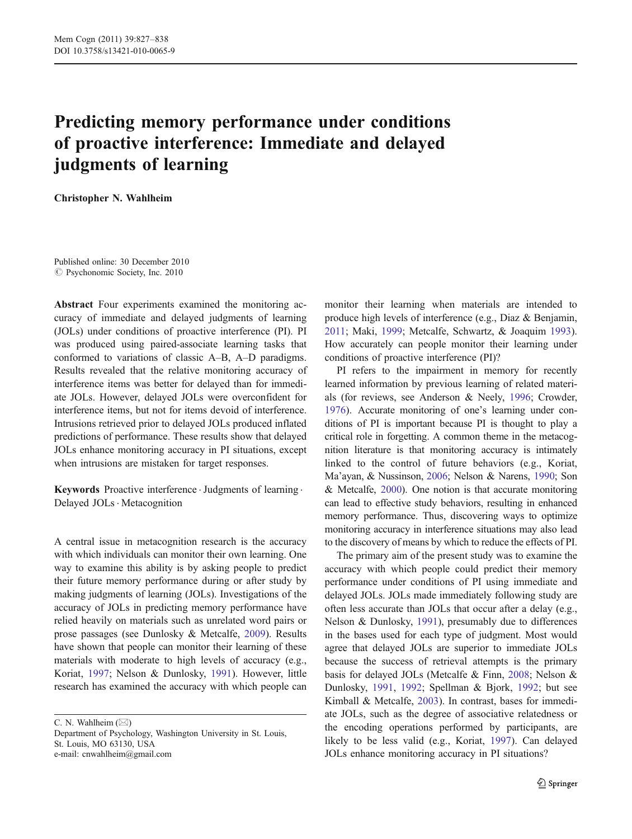# Predicting memory performance under conditions of proactive interference: Immediate and delayed judgments of learning

Christopher N. Wahlheim

Published online: 30 December 2010  $\odot$  Psychonomic Society, Inc. 2010

Abstract Four experiments examined the monitoring accuracy of immediate and delayed judgments of learning (JOLs) under conditions of proactive interference (PI). PI was produced using paired-associate learning tasks that conformed to variations of classic A–B, A–D paradigms. Results revealed that the relative monitoring accuracy of interference items was better for delayed than for immediate JOLs. However, delayed JOLs were overconfident for interference items, but not for items devoid of interference. Intrusions retrieved prior to delayed JOLs produced inflated predictions of performance. These results show that delayed JOLs enhance monitoring accuracy in PI situations, except when intrusions are mistaken for target responses.

Keywords Proactive interference Judgments of learning . Delayed JOLs . Metacognition

A central issue in metacognition research is the accuracy with which individuals can monitor their own learning. One way to examine this ability is by asking people to predict their future memory performance during or after study by making judgments of learning (JOLs). Investigations of the accuracy of JOLs in predicting memory performance have relied heavily on materials such as unrelated word pairs or prose passages (see Dunlosky & Metcalfe, [2009](#page-11-0)). Results have shown that people can monitor their learning of these materials with moderate to high levels of accuracy (e.g., Koriat, [1997;](#page-11-0) Nelson & Dunlosky, [1991\)](#page-11-0). However, little research has examined the accuracy with which people can

C. N. Wahlheim  $(\boxtimes)$ 

Department of Psychology, Washington University in St. Louis, St. Louis, MO 63130, USA e-mail: cnwahlheim@gmail.com

monitor their learning when materials are intended to produce high levels of interference (e.g., Diaz & Benjamin, [2011;](#page-11-0) Maki, [1999](#page-11-0); Metcalfe, Schwartz, & Joaquim [1993\)](#page-11-0). How accurately can people monitor their learning under conditions of proactive interference (PI)?

PI refers to the impairment in memory for recently learned information by previous learning of related materials (for reviews, see Anderson & Neely, [1996](#page-10-0); Crowder, [1976](#page-11-0)). Accurate monitoring of one's learning under conditions of PI is important because PI is thought to play a critical role in forgetting. A common theme in the metacognition literature is that monitoring accuracy is intimately linked to the control of future behaviors (e.g., Koriat, Ma'ayan, & Nussinson, [2006;](#page-11-0) Nelson & Narens, [1990;](#page-11-0) Son & Metcalfe, [2000\)](#page-11-0). One notion is that accurate monitoring can lead to effective study behaviors, resulting in enhanced memory performance. Thus, discovering ways to optimize monitoring accuracy in interference situations may also lead to the discovery of means by which to reduce the effects of PI.

The primary aim of the present study was to examine the accuracy with which people could predict their memory performance under conditions of PI using immediate and delayed JOLs. JOLs made immediately following study are often less accurate than JOLs that occur after a delay (e.g., Nelson & Dunlosky, [1991\)](#page-11-0), presumably due to differences in the bases used for each type of judgment. Most would agree that delayed JOLs are superior to immediate JOLs because the success of retrieval attempts is the primary basis for delayed JOLs (Metcalfe & Finn, [2008](#page-11-0); Nelson & Dunlosky, [1991,](#page-11-0) [1992;](#page-11-0) Spellman & Bjork, [1992;](#page-11-0) but see Kimball & Metcalfe, [2003\)](#page-11-0). In contrast, bases for immediate JOLs, such as the degree of associative relatedness or the encoding operations performed by participants, are likely to be less valid (e.g., Koriat, [1997](#page-11-0)). Can delayed JOLs enhance monitoring accuracy in PI situations?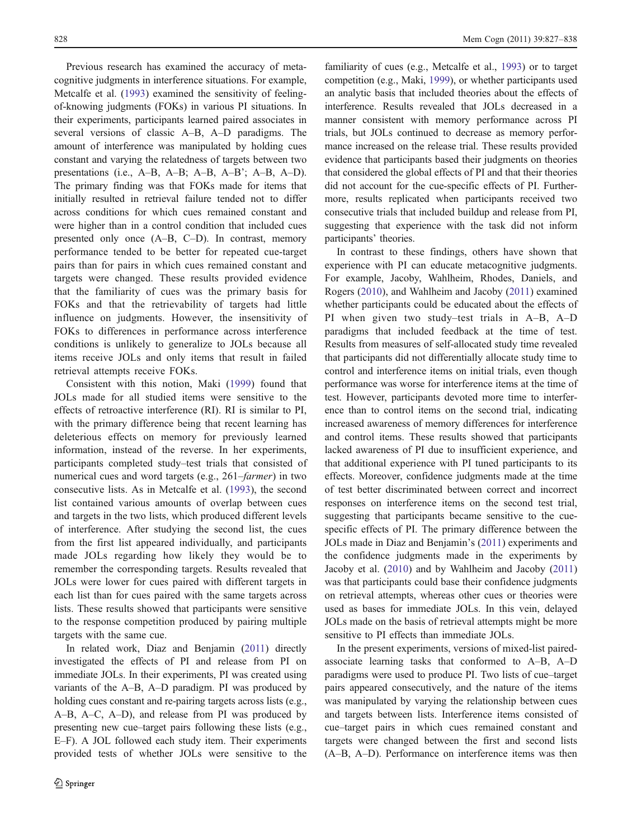Previous research has examined the accuracy of metacognitive judgments in interference situations. For example, Metcalfe et al. [\(1993](#page-11-0)) examined the sensitivity of feelingof-knowing judgments (FOKs) in various PI situations. In their experiments, participants learned paired associates in several versions of classic A–B, A–D paradigms. The amount of interference was manipulated by holding cues constant and varying the relatedness of targets between two presentations (i.e., A–B, A–B; A–B, A–B'; A–B, A–D). The primary finding was that FOKs made for items that initially resulted in retrieval failure tended not to differ across conditions for which cues remained constant and were higher than in a control condition that included cues presented only once (A–B, C–D). In contrast, memory performance tended to be better for repeated cue-target pairs than for pairs in which cues remained constant and targets were changed. These results provided evidence that the familiarity of cues was the primary basis for FOKs and that the retrievability of targets had little influence on judgments. However, the insensitivity of FOKs to differences in performance across interference conditions is unlikely to generalize to JOLs because all items receive JOLs and only items that result in failed retrieval attempts receive FOKs.

Consistent with this notion, Maki ([1999\)](#page-11-0) found that JOLs made for all studied items were sensitive to the effects of retroactive interference (RI). RI is similar to PI, with the primary difference being that recent learning has deleterious effects on memory for previously learned information, instead of the reverse. In her experiments, participants completed study–test trials that consisted of numerical cues and word targets (e.g., 261–farmer) in two consecutive lists. As in Metcalfe et al. ([1993](#page-11-0)), the second list contained various amounts of overlap between cues and targets in the two lists, which produced different levels of interference. After studying the second list, the cues from the first list appeared individually, and participants made JOLs regarding how likely they would be to remember the corresponding targets. Results revealed that JOLs were lower for cues paired with different targets in each list than for cues paired with the same targets across lists. These results showed that participants were sensitive to the response competition produced by pairing multiple targets with the same cue.

In related work, Diaz and Benjamin ([2011](#page-11-0)) directly investigated the effects of PI and release from PI on immediate JOLs. In their experiments, PI was created using variants of the A–B, A–D paradigm. PI was produced by holding cues constant and re-pairing targets across lists (e.g., A–B, A–C, A–D), and release from PI was produced by presenting new cue–target pairs following these lists (e.g., E–F). A JOL followed each study item. Their experiments provided tests of whether JOLs were sensitive to the

familiarity of cues (e.g., Metcalfe et al., [1993\)](#page-11-0) or to target competition (e.g., Maki, [1999](#page-11-0)), or whether participants used an analytic basis that included theories about the effects of interference. Results revealed that JOLs decreased in a manner consistent with memory performance across PI trials, but JOLs continued to decrease as memory performance increased on the release trial. These results provided evidence that participants based their judgments on theories that considered the global effects of PI and that their theories did not account for the cue-specific effects of PI. Furthermore, results replicated when participants received two consecutive trials that included buildup and release from PI, suggesting that experience with the task did not inform participants' theories.

In contrast to these findings, others have shown that experience with PI can educate metacognitive judgments. For example, Jacoby, Wahlheim, Rhodes, Daniels, and Rogers [\(2010](#page-11-0)), and Wahlheim and Jacoby [\(2011\)](#page-11-0) examined whether participants could be educated about the effects of PI when given two study–test trials in A–B, A–D paradigms that included feedback at the time of test. Results from measures of self-allocated study time revealed that participants did not differentially allocate study time to control and interference items on initial trials, even though performance was worse for interference items at the time of test. However, participants devoted more time to interference than to control items on the second trial, indicating increased awareness of memory differences for interference and control items. These results showed that participants lacked awareness of PI due to insufficient experience, and that additional experience with PI tuned participants to its effects. Moreover, confidence judgments made at the time of test better discriminated between correct and incorrect responses on interference items on the second test trial, suggesting that participants became sensitive to the cuespecific effects of PI. The primary difference between the JOLs made in Diaz and Benjamin's ([2011](#page-11-0)) experiments and the confidence judgments made in the experiments by Jacoby et al. [\(2010](#page-11-0)) and by Wahlheim and Jacoby [\(2011](#page-11-0)) was that participants could base their confidence judgments on retrieval attempts, whereas other cues or theories were used as bases for immediate JOLs. In this vein, delayed JOLs made on the basis of retrieval attempts might be more sensitive to PI effects than immediate JOLs.

In the present experiments, versions of mixed-list pairedassociate learning tasks that conformed to A–B, A–D paradigms were used to produce PI. Two lists of cue–target pairs appeared consecutively, and the nature of the items was manipulated by varying the relationship between cues and targets between lists. Interference items consisted of cue–target pairs in which cues remained constant and targets were changed between the first and second lists (A–B, A–D). Performance on interference items was then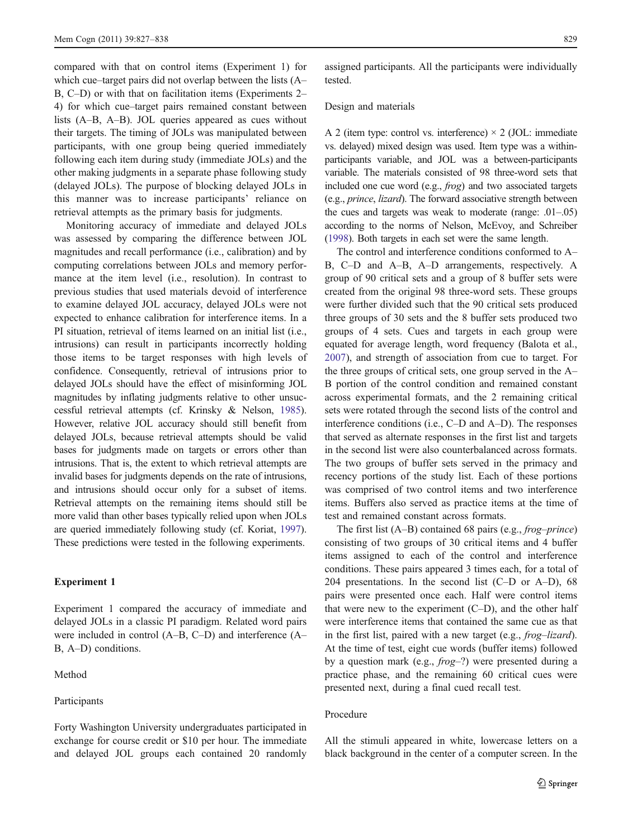<span id="page-2-0"></span>compared with that on control items (Experiment 1) for which cue–target pairs did not overlap between the lists (A– B, C–D) or with that on facilitation items (Experiments 2– 4) for which cue–target pairs remained constant between lists (A–B, A–B). JOL queries appeared as cues without their targets. The timing of JOLs was manipulated between participants, with one group being queried immediately following each item during study (immediate JOLs) and the other making judgments in a separate phase following study (delayed JOLs). The purpose of blocking delayed JOLs in this manner was to increase participants' reliance on retrieval attempts as the primary basis for judgments.

Monitoring accuracy of immediate and delayed JOLs was assessed by comparing the difference between JOL magnitudes and recall performance (i.e., calibration) and by computing correlations between JOLs and memory performance at the item level (i.e., resolution). In contrast to previous studies that used materials devoid of interference to examine delayed JOL accuracy, delayed JOLs were not expected to enhance calibration for interference items. In a PI situation, retrieval of items learned on an initial list (i.e., intrusions) can result in participants incorrectly holding those items to be target responses with high levels of confidence. Consequently, retrieval of intrusions prior to delayed JOLs should have the effect of misinforming JOL magnitudes by inflating judgments relative to other unsuccessful retrieval attempts (cf. Krinsky & Nelson, [1985\)](#page-11-0). However, relative JOL accuracy should still benefit from delayed JOLs, because retrieval attempts should be valid bases for judgments made on targets or errors other than intrusions. That is, the extent to which retrieval attempts are invalid bases for judgments depends on the rate of intrusions, and intrusions should occur only for a subset of items. Retrieval attempts on the remaining items should still be more valid than other bases typically relied upon when JOLs are queried immediately following study (cf. Koriat, [1997\)](#page-11-0). These predictions were tested in the following experiments.

#### Experiment 1

Experiment 1 compared the accuracy of immediate and delayed JOLs in a classic PI paradigm. Related word pairs were included in control (A–B, C–D) and interference (A– B, A–D) conditions.

# Method

#### Participants

Forty Washington University undergraduates participated in exchange for course credit or \$10 per hour. The immediate and delayed JOL groups each contained 20 randomly

assigned participants. All the participants were individually tested.

#### Design and materials

A 2 (item type: control vs. interference)  $\times$  2 (JOL: immediate vs. delayed) mixed design was used. Item type was a withinparticipants variable, and JOL was a between-participants variable. The materials consisted of 98 three-word sets that included one cue word (e.g., frog) and two associated targets (e.g., prince, lizard). The forward associative strength between the cues and targets was weak to moderate (range: .01–.05) according to the norms of Nelson, McEvoy, and Schreiber [\(1998](#page-11-0)). Both targets in each set were the same length.

The control and interference conditions conformed to A– B, C–D and A–B, A–D arrangements, respectively. A group of 90 critical sets and a group of 8 buffer sets were created from the original 98 three-word sets. These groups were further divided such that the 90 critical sets produced three groups of 30 sets and the 8 buffer sets produced two groups of 4 sets. Cues and targets in each group were equated for average length, word frequency (Balota et al., [2007](#page-10-0)), and strength of association from cue to target. For the three groups of critical sets, one group served in the A– B portion of the control condition and remained constant across experimental formats, and the 2 remaining critical sets were rotated through the second lists of the control and interference conditions (i.e., C–D and A–D). The responses that served as alternate responses in the first list and targets in the second list were also counterbalanced across formats. The two groups of buffer sets served in the primacy and recency portions of the study list. Each of these portions was comprised of two control items and two interference items. Buffers also served as practice items at the time of test and remained constant across formats.

The first list (A–B) contained 68 pairs (e.g., frog–prince) consisting of two groups of 30 critical items and 4 buffer items assigned to each of the control and interference conditions. These pairs appeared 3 times each, for a total of 204 presentations. In the second list (C–D or A–D), 68 pairs were presented once each. Half were control items that were new to the experiment  $(C-D)$ , and the other half were interference items that contained the same cue as that in the first list, paired with a new target (e.g., frog–lizard). At the time of test, eight cue words (buffer items) followed by a question mark (e.g., frog–?) were presented during a practice phase, and the remaining 60 critical cues were presented next, during a final cued recall test.

### Procedure

All the stimuli appeared in white, lowercase letters on a black background in the center of a computer screen. In the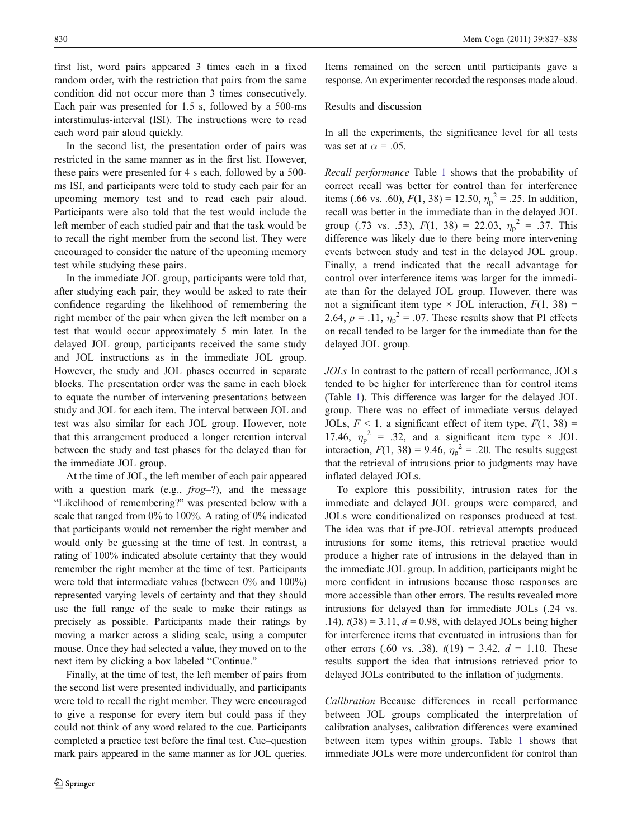first list, word pairs appeared 3 times each in a fixed random order, with the restriction that pairs from the same condition did not occur more than 3 times consecutively. Each pair was presented for 1.5 s, followed by a 500-ms interstimulus-interval (ISI). The instructions were to read each word pair aloud quickly.

In the second list, the presentation order of pairs was restricted in the same manner as in the first list. However, these pairs were presented for 4 s each, followed by a 500 ms ISI, and participants were told to study each pair for an upcoming memory test and to read each pair aloud. Participants were also told that the test would include the left member of each studied pair and that the task would be to recall the right member from the second list. They were encouraged to consider the nature of the upcoming memory test while studying these pairs.

In the immediate JOL group, participants were told that, after studying each pair, they would be asked to rate their confidence regarding the likelihood of remembering the right member of the pair when given the left member on a test that would occur approximately 5 min later. In the delayed JOL group, participants received the same study and JOL instructions as in the immediate JOL group. However, the study and JOL phases occurred in separate blocks. The presentation order was the same in each block to equate the number of intervening presentations between study and JOL for each item. The interval between JOL and test was also similar for each JOL group. However, note that this arrangement produced a longer retention interval between the study and test phases for the delayed than for the immediate JOL group.

At the time of JOL, the left member of each pair appeared with a question mark (e.g.,  $frog-?)$ , and the message "Likelihood of remembering?" was presented below with a scale that ranged from 0% to 100%. A rating of 0% indicated that participants would not remember the right member and would only be guessing at the time of test. In contrast, a rating of 100% indicated absolute certainty that they would remember the right member at the time of test. Participants were told that intermediate values (between 0% and 100%) represented varying levels of certainty and that they should use the full range of the scale to make their ratings as precisely as possible. Participants made their ratings by moving a marker across a sliding scale, using a computer mouse. Once they had selected a value, they moved on to the next item by clicking a box labeled "Continue."

Finally, at the time of test, the left member of pairs from the second list were presented individually, and participants were told to recall the right member. They were encouraged to give a response for every item but could pass if they could not think of any word related to the cue. Participants completed a practice test before the final test. Cue–question mark pairs appeared in the same manner as for JOL queries.

Items remained on the screen until participants gave a response. An experimenter recorded the responses made aloud.

#### Results and discussion

In all the experiments, the significance level for all tests was set at  $\alpha = .05$ .

Recall performance Table [1](#page-4-0) shows that the probability of correct recall was better for control than for interference items (.66 vs. .60),  $F(1, 38) = 12.50$ ,  $\eta_p^2 = .25$ . In addition, recall was better in the immediate than in the delayed JOL group (.73 vs. .53),  $F(1, 38) = 22.03$ ,  $\eta_p^2 = .37$ . This difference was likely due to there being more intervening events between study and test in the delayed JOL group. Finally, a trend indicated that the recall advantage for control over interference items was larger for the immediate than for the delayed JOL group. However, there was not a significant item type  $\times$  JOL interaction,  $F(1, 38) =$ 2.64,  $p = .11$ ,  $\eta_p^2 = .07$ . These results show that PI effects on recall tended to be larger for the immediate than for the delayed JOL group.

JOLs In contrast to the pattern of recall performance, JOLs tended to be higher for interference than for control items (Table [1](#page-4-0)). This difference was larger for the delayed JOL group. There was no effect of immediate versus delayed JOLs,  $F < 1$ , a significant effect of item type,  $F(1, 38) =$ 17.46,  $\eta_p^2 = .32$ , and a significant item type  $\times$  JOL interaction,  $F(1, 38) = 9.46$ ,  $\eta_p^2 = .20$ . The results suggest that the retrieval of intrusions prior to judgments may have inflated delayed JOLs.

To explore this possibility, intrusion rates for the immediate and delayed JOL groups were compared, and JOLs were conditionalized on responses produced at test. The idea was that if pre-JOL retrieval attempts produced intrusions for some items, this retrieval practice would produce a higher rate of intrusions in the delayed than in the immediate JOL group. In addition, participants might be more confident in intrusions because those responses are more accessible than other errors. The results revealed more intrusions for delayed than for immediate JOLs (.24 vs. .14),  $t(38) = 3.11$ ,  $d = 0.98$ , with delayed JOLs being higher for interference items that eventuated in intrusions than for other errors (.60 vs. .38),  $t(19) = 3.42$ ,  $d = 1.10$ . These results support the idea that intrusions retrieved prior to delayed JOLs contributed to the inflation of judgments.

Calibration Because differences in recall performance between JOL groups complicated the interpretation of calibration analyses, calibration differences were examined between item types within groups. Table [1](#page-4-0) shows that immediate JOLs were more underconfident for control than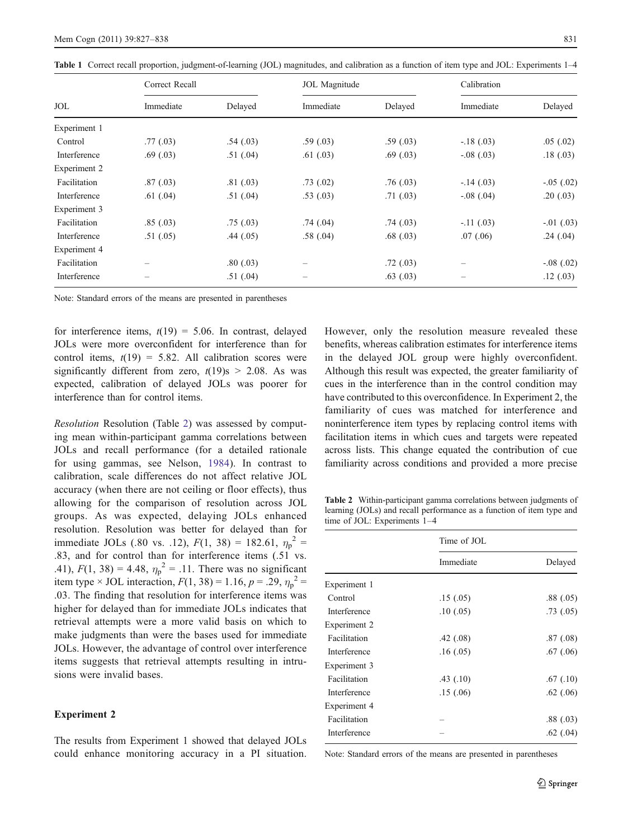<span id="page-4-0"></span>Table 1 Correct recall proportion, judgment-of-learning (JOL) magnitudes, and calibration as a function of item type and JOL: Experiments 1–4

| JOL          | Correct Recall |           | <b>JOL</b> Magnitude |           | Calibration |                |
|--------------|----------------|-----------|----------------------|-----------|-------------|----------------|
|              | Immediate      | Delayed   | Immediate            | Delayed   | Immediate   | Delayed        |
| Experiment 1 |                |           |                      |           |             |                |
| Control      | .77(03)        | .54(0.03) | .59(.03)             | .59(.03)  | $-.18(.03)$ | .05(.02)       |
| Interference | .69(0.03)      | .51(0.04) | .61(0.03)            | .69(0.03) | $-.08(.03)$ | .18(0.03)      |
| Experiment 2 |                |           |                      |           |             |                |
| Facilitation | .87(0.03)      | .81(0.03) | .73(02)              | .76(.03)  | $-.14(.03)$ | $-.05(.02)$    |
| Interference | .61(0.04)      | .51(0.04) | .53(0.03)            | .71(0.03) | $-.08(.04)$ | .20(0.03)      |
| Experiment 3 |                |           |                      |           |             |                |
| Facilitation | .85(.03)       | .75(.03)  | .74(0.04)            | .74(03)   | $-.11(.03)$ | $-.01$ $(.03)$ |
| Interference | .51(.05)       | .44(.05)  | .58(.04)             | .68(0.03) | .07(0.06)   | .24(.04)       |
| Experiment 4 |                |           |                      |           |             |                |
| Facilitation |                | .80(0.03) |                      | .72(0.03) |             | $-.08(.02)$    |
| Interference |                | .51(0.04) |                      | .63(0.03) |             | .12(0.03)      |

Note: Standard errors of the means are presented in parentheses

for interference items,  $t(19) = 5.06$ . In contrast, delayed JOLs were more overconfident for interference than for control items,  $t(19) = 5.82$ . All calibration scores were significantly different from zero,  $t(19)$ s > 2.08. As was expected, calibration of delayed JOLs was poorer for interference than for control items.

Resolution Resolution (Table 2) was assessed by computing mean within-participant gamma correlations between JOLs and recall performance (for a detailed rationale for using gammas, see Nelson, [1984](#page-11-0)). In contrast to calibration, scale differences do not affect relative JOL accuracy (when there are not ceiling or floor effects), thus allowing for the comparison of resolution across JOL groups. As was expected, delaying JOLs enhanced resolution. Resolution was better for delayed than for immediate JOLs (.80 vs. .12),  $F(1, 38) = 182.61$ ,  $\eta_p^2 =$ .83, and for control than for interference items (.51 vs. .41),  $F(1, 38) = 4.48$ ,  $\eta_p^2 = .11$ . There was no significant item type × JOL interaction,  $F(1, 38) = 1.16$ ,  $p = .29$ ,  $\eta_p^2 =$ .03. The finding that resolution for interference items was higher for delayed than for immediate JOLs indicates that retrieval attempts were a more valid basis on which to make judgments than were the bases used for immediate JOLs. However, the advantage of control over interference items suggests that retrieval attempts resulting in intrusions were invalid bases.

# Experiment 2

The results from Experiment 1 showed that delayed JOLs could enhance monitoring accuracy in a PI situation. However, only the resolution measure revealed these benefits, whereas calibration estimates for interference items in the delayed JOL group were highly overconfident. Although this result was expected, the greater familiarity of cues in the interference than in the control condition may have contributed to this overconfidence. In Experiment 2, the familiarity of cues was matched for interference and noninterference item types by replacing control items with facilitation items in which cues and targets were repeated across lists. This change equated the contribution of cue familiarity across conditions and provided a more precise

Table 2 Within-participant gamma correlations between judgments of learning (JOLs) and recall performance as a function of item type and time of JOL: Experiments 1–4

|              | Time of JOL |           |  |
|--------------|-------------|-----------|--|
|              | Immediate   | Delayed   |  |
| Experiment 1 |             |           |  |
| Control      | .15(0.05)   | .88(.05)  |  |
| Interference | .10(0.05)   | .73(0.05) |  |
| Experiment 2 |             |           |  |
| Facilitation | .42(0.08)   | .87(0.08) |  |
| Interference | .16(0.05)   | .67(0.06) |  |
| Experiment 3 |             |           |  |
| Facilitation | .43(.10)    | .67(.10)  |  |
| Interference | .15(0.06)   | .62(.06)  |  |
| Experiment 4 |             |           |  |
| Facilitation |             | .88(0.03) |  |
| Interference |             | .62(0.04) |  |

Note: Standard errors of the means are presented in parentheses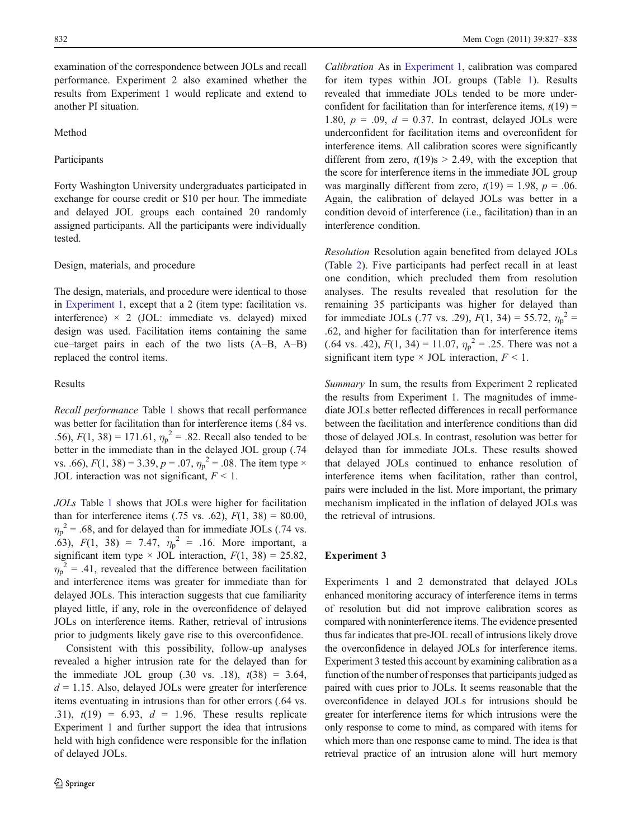<span id="page-5-0"></span>examination of the correspondence between JOLs and recall performance. Experiment 2 also examined whether the results from Experiment 1 would replicate and extend to another PI situation.

# Method

Participants

Forty Washington University undergraduates participated in exchange for course credit or \$10 per hour. The immediate and delayed JOL groups each contained 20 randomly assigned participants. All the participants were individually tested.

# Design, materials, and procedure

The design, materials, and procedure were identical to those in [Experiment 1](#page-2-0), except that a 2 (item type: facilitation vs. interference)  $\times$  2 (JOL: immediate vs. delayed) mixed design was used. Facilitation items containing the same cue–target pairs in each of the two lists (A–B, A–B) replaced the control items.

## Results

Recall performance Table [1](#page-4-0) shows that recall performance was better for facilitation than for interference items (.84 vs. .56),  $F(1, 38) = 171.61$ ,  $\eta_p^2 = .82$ . Recall also tended to be better in the immediate than in the delayed JOL group (.74 vs. .66),  $F(1, 38) = 3.39$ ,  $p = .07$ ,  $\eta_p^2 = .08$ . The item type  $\times$ JOL interaction was not significant,  $F < 1$ .

JOLs Table [1](#page-4-0) shows that JOLs were higher for facilitation than for interference items (.75 vs. .62),  $F(1, 38) = 80.00$ ,  $\eta_p^2$  = .68, and for delayed than for immediate JOLs (.74 vs. .63),  $F(1, 38) = 7.47$ ,  $\eta_p^2 = .16$ . More important, a significant item type  $\times$  JOL interaction,  $F(1, 38) = 25.82$ ,  $\eta_{\rm p}^2$  = .41, revealed that the difference between facilitation and interference items was greater for immediate than for delayed JOLs. This interaction suggests that cue familiarity played little, if any, role in the overconfidence of delayed JOLs on interference items. Rather, retrieval of intrusions prior to judgments likely gave rise to this overconfidence.

Consistent with this possibility, follow-up analyses revealed a higher intrusion rate for the delayed than for the immediate JOL group  $(.30 \text{ vs. } .18)$ ,  $t(38) = 3.64$ ,  $d = 1.15$ . Also, delayed JOLs were greater for interference items eventuating in intrusions than for other errors (.64 vs. .31),  $t(19) = 6.93$ ,  $d = 1.96$ . These results replicate Experiment 1 and further support the idea that intrusions held with high confidence were responsible for the inflation of delayed JOLs.

Calibration As in [Experiment 1,](#page-2-0) calibration was compared for item types within JOL groups (Table [1](#page-4-0)). Results revealed that immediate JOLs tended to be more underconfident for facilitation than for interference items,  $t(19) =$ 1.80,  $p = .09$ ,  $d = 0.37$ . In contrast, delayed JOLs were underconfident for facilitation items and overconfident for interference items. All calibration scores were significantly different from zero,  $t(19)$ s > 2.49, with the exception that the score for interference items in the immediate JOL group was marginally different from zero,  $t(19) = 1.98$ ,  $p = .06$ . Again, the calibration of delayed JOLs was better in a condition devoid of interference (i.e., facilitation) than in an interference condition.

Resolution Resolution again benefited from delayed JOLs (Table [2](#page-4-0)). Five participants had perfect recall in at least one condition, which precluded them from resolution analyses. The results revealed that resolution for the remaining 35 participants was higher for delayed than for immediate JOLs (.77 vs. .29),  $F(1, 34) = 55.72$ ,  $\eta_p^2 =$ .62, and higher for facilitation than for interference items  $(.64 \text{ vs. } .42), F(1, 34) = 11.07, \eta_p^2 = .25.$  There was not a significant item type  $\times$  JOL interaction,  $F \le 1$ .

Summary In sum, the results from Experiment 2 replicated the results from Experiment 1. The magnitudes of immediate JOLs better reflected differences in recall performance between the facilitation and interference conditions than did those of delayed JOLs. In contrast, resolution was better for delayed than for immediate JOLs. These results showed that delayed JOLs continued to enhance resolution of interference items when facilitation, rather than control, pairs were included in the list. More important, the primary mechanism implicated in the inflation of delayed JOLs was the retrieval of intrusions.

#### Experiment 3

Experiments 1 and 2 demonstrated that delayed JOLs enhanced monitoring accuracy of interference items in terms of resolution but did not improve calibration scores as compared with noninterference items. The evidence presented thus far indicates that pre-JOL recall of intrusions likely drove the overconfidence in delayed JOLs for interference items. Experiment 3 tested this account by examining calibration as a function of the number of responses that participants judged as paired with cues prior to JOLs. It seems reasonable that the overconfidence in delayed JOLs for intrusions should be greater for interference items for which intrusions were the only response to come to mind, as compared with items for which more than one response came to mind. The idea is that retrieval practice of an intrusion alone will hurt memory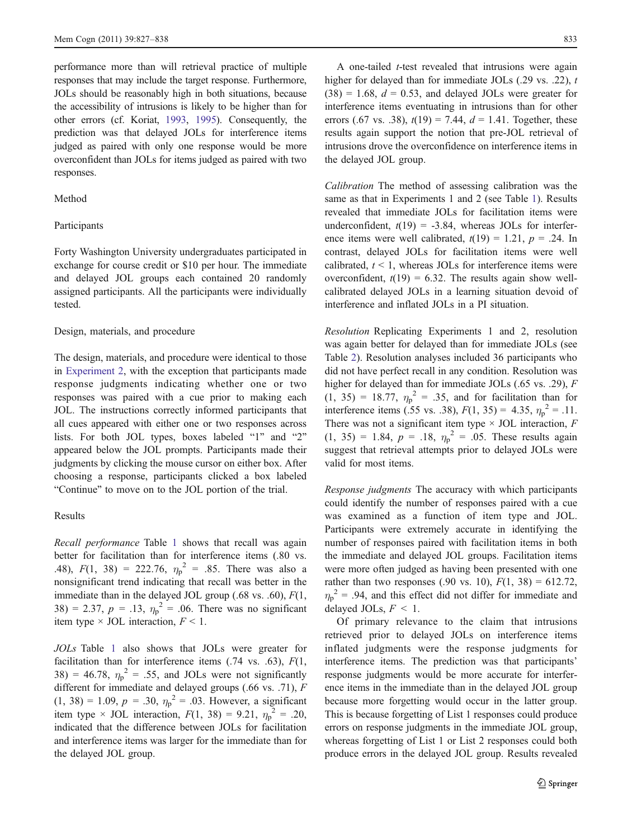performance more than will retrieval practice of multiple responses that may include the target response. Furthermore, JOLs should be reasonably high in both situations, because the accessibility of intrusions is likely to be higher than for other errors (cf. Koriat, [1993,](#page-11-0) [1995\)](#page-11-0). Consequently, the prediction was that delayed JOLs for interference items judged as paired with only one response would be more overconfident than JOLs for items judged as paired with two responses.

## Method

#### Participants

Forty Washington University undergraduates participated in exchange for course credit or \$10 per hour. The immediate and delayed JOL groups each contained 20 randomly assigned participants. All the participants were individually tested.

#### Design, materials, and procedure

The design, materials, and procedure were identical to those in [Experiment 2](#page-4-0), with the exception that participants made response judgments indicating whether one or two responses was paired with a cue prior to making each JOL. The instructions correctly informed participants that all cues appeared with either one or two responses across lists. For both JOL types, boxes labeled "1" and "2" appeared below the JOL prompts. Participants made their judgments by clicking the mouse cursor on either box. After choosing a response, participants clicked a box labeled "Continue" to move on to the JOL portion of the trial.

## Results

Recall performance Table [1](#page-4-0) shows that recall was again better for facilitation than for interference items (.80 vs. .48),  $F(1, 38) = 222.76$ ,  $\eta_p^2 = .85$ . There was also a nonsignificant trend indicating that recall was better in the immediate than in the delayed JOL group (.68 vs. .60),  $F(1, 1)$ 38) = 2.37,  $p = .13$ ,  $\eta_p^2 = .06$ . There was no significant item type  $\times$  JOL interaction,  $F < 1$ .

JOLs Table [1](#page-4-0) also shows that JOLs were greater for facilitation than for interference items  $(.74 \text{ vs. } .63)$ ,  $F(1, 1)$ 38) = 46.78,  $\eta_p^2$  = .55, and JOLs were not significantly different for immediate and delayed groups (.66 vs. .71), F  $(1, 38) = 1.09, p = .30, \eta_p^2 = .03$ . However, a significant item type  $\times$  JOL interaction,  $F(1, 38) = 9.21$ ,  $\eta_p^2 = .20$ , indicated that the difference between JOLs for facilitation and interference items was larger for the immediate than for the delayed JOL group.

A one-tailed *-test revealed that intrusions were again* higher for delayed than for immediate JOLs (.29 vs. .22), t  $(38) = 1.68$ ,  $d = 0.53$ , and delayed JOLs were greater for interference items eventuating in intrusions than for other errors (.67 vs. .38),  $t(19) = 7.44$ ,  $d = 1.41$ . Together, these results again support the notion that pre-JOL retrieval of intrusions drove the overconfidence on interference items in the delayed JOL group.

Calibration The method of assessing calibration was the same as that in Experiments 1 and 2 (see Table [1](#page-4-0)). Results revealed that immediate JOLs for facilitation items were underconfident,  $t(19) = -3.84$ , whereas JOLs for interference items were well calibrated,  $t(19) = 1.21$ ,  $p = .24$ . In contrast, delayed JOLs for facilitation items were well calibrated,  $t < 1$ , whereas JOLs for interference items were overconfident,  $t(19) = 6.32$ . The results again show wellcalibrated delayed JOLs in a learning situation devoid of interference and inflated JOLs in a PI situation.

Resolution Replicating Experiments 1 and 2, resolution was again better for delayed than for immediate JOLs (see Table [2](#page-4-0)). Resolution analyses included 36 participants who did not have perfect recall in any condition. Resolution was higher for delayed than for immediate JOLs (.65 vs. .29), F  $(1, 35) = 18.77, \eta_p^2 = .35$ , and for facilitation than for interference items (.55 vs. .38),  $F(1, 35) = 4.35$ ,  $\eta_p^2 = .11$ . There was not a significant item type  $\times$  JOL interaction,  $F$  $(1, 35) = 1.84$ ,  $p = .18$ ,  $\eta_p^2 = .05$ . These results again suggest that retrieval attempts prior to delayed JOLs were valid for most items.

Response judgments The accuracy with which participants could identify the number of responses paired with a cue was examined as a function of item type and JOL. Participants were extremely accurate in identifying the number of responses paired with facilitation items in both the immediate and delayed JOL groups. Facilitation items were more often judged as having been presented with one rather than two responses (.90 vs. 10),  $F(1, 38) = 612.72$ ,  $\eta_p^2$  = .94, and this effect did not differ for immediate and delayed JOLs,  $F < 1$ .

Of primary relevance to the claim that intrusions retrieved prior to delayed JOLs on interference items inflated judgments were the response judgments for interference items. The prediction was that participants' response judgments would be more accurate for interference items in the immediate than in the delayed JOL group because more forgetting would occur in the latter group. This is because forgetting of List 1 responses could produce errors on response judgments in the immediate JOL group, whereas forgetting of List 1 or List 2 responses could both produce errors in the delayed JOL group. Results revealed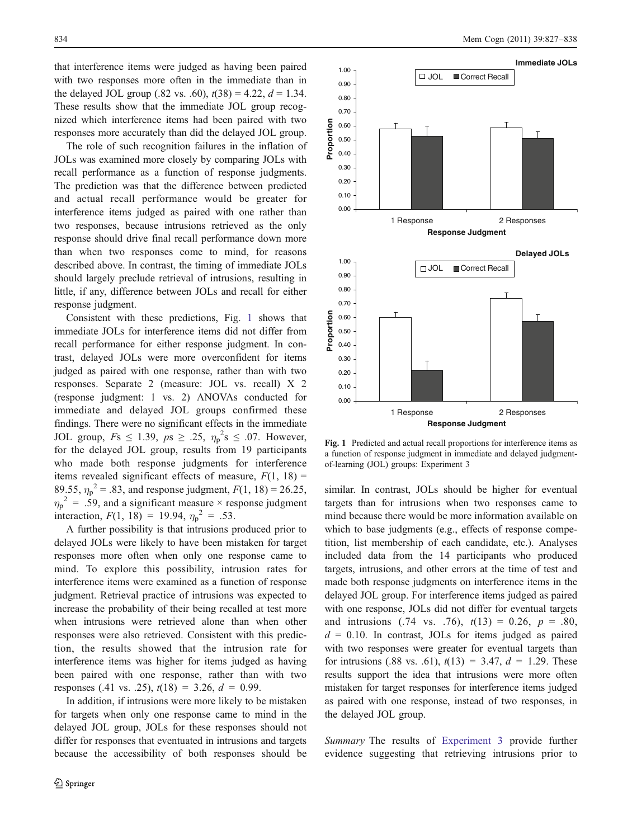that interference items were judged as having been paired with two responses more often in the immediate than in the delayed JOL group (.82 vs. .60),  $t(38) = 4.22$ ,  $d = 1.34$ . These results show that the immediate JOL group recognized which interference items had been paired with two responses more accurately than did the delayed JOL group.

The role of such recognition failures in the inflation of JOLs was examined more closely by comparing JOLs with recall performance as a function of response judgments. The prediction was that the difference between predicted and actual recall performance would be greater for interference items judged as paired with one rather than two responses, because intrusions retrieved as the only response should drive final recall performance down more than when two responses come to mind, for reasons described above. In contrast, the timing of immediate JOLs should largely preclude retrieval of intrusions, resulting in little, if any, difference between JOLs and recall for either response judgment.

Consistent with these predictions, Fig. 1 shows that immediate JOLs for interference items did not differ from recall performance for either response judgment. In contrast, delayed JOLs were more overconfident for items judged as paired with one response, rather than with two responses. Separate 2 (measure: JOL vs. recall) X 2 (response judgment: 1 vs. 2) ANOVAs conducted for immediate and delayed JOL groups confirmed these findings. There were no significant effects in the immediate JOL group,  $Fs \le 1.39$ ,  $ps \ge .25$ ,  $\eta_p^2 s \le .07$ . However, for the delayed JOL group, results from 19 participants who made both response judgments for interference items revealed significant effects of measure,  $F(1, 18) =$ 89.55,  $\eta_p^2 = .83$ , and response judgment,  $F(1, 18) = 26.25$ ,  $\eta_p^2$  = .59, and a significant measure × response judgment interaction,  $F(1, 18) = 19.94$ ,  $\eta_p^2 = .53$ .

A further possibility is that intrusions produced prior to delayed JOLs were likely to have been mistaken for target responses more often when only one response came to mind. To explore this possibility, intrusion rates for interference items were examined as a function of response judgment. Retrieval practice of intrusions was expected to increase the probability of their being recalled at test more when intrusions were retrieved alone than when other responses were also retrieved. Consistent with this prediction, the results showed that the intrusion rate for interference items was higher for items judged as having been paired with one response, rather than with two responses (.41 vs. .25),  $t(18) = 3.26$ ,  $d = 0.99$ .

In addition, if intrusions were more likely to be mistaken for targets when only one response came to mind in the delayed JOL group, JOLs for these responses should not differ for responses that eventuated in intrusions and targets because the accessibility of both responses should be



Fig. 1 Predicted and actual recall proportions for interference items as a function of response judgment in immediate and delayed judgmentof-learning (JOL) groups: Experiment 3

similar. In contrast, JOLs should be higher for eventual targets than for intrusions when two responses came to mind because there would be more information available on which to base judgments (e.g., effects of response competition, list membership of each candidate, etc.). Analyses included data from the 14 participants who produced targets, intrusions, and other errors at the time of test and made both response judgments on interference items in the delayed JOL group. For interference items judged as paired with one response, JOLs did not differ for eventual targets and intrusions  $(.74 \text{ vs. } .76)$ ,  $t(13) = 0.26$ ,  $p = .80$ ,  $d = 0.10$ . In contrast, JOLs for items judged as paired with two responses were greater for eventual targets than for intrusions (.88 vs. .61),  $t(13) = 3.47$ ,  $d = 1.29$ . These results support the idea that intrusions were more often mistaken for target responses for interference items judged as paired with one response, instead of two responses, in the delayed JOL group.

Summary The results of [Experiment 3](#page-5-0) provide further evidence suggesting that retrieving intrusions prior to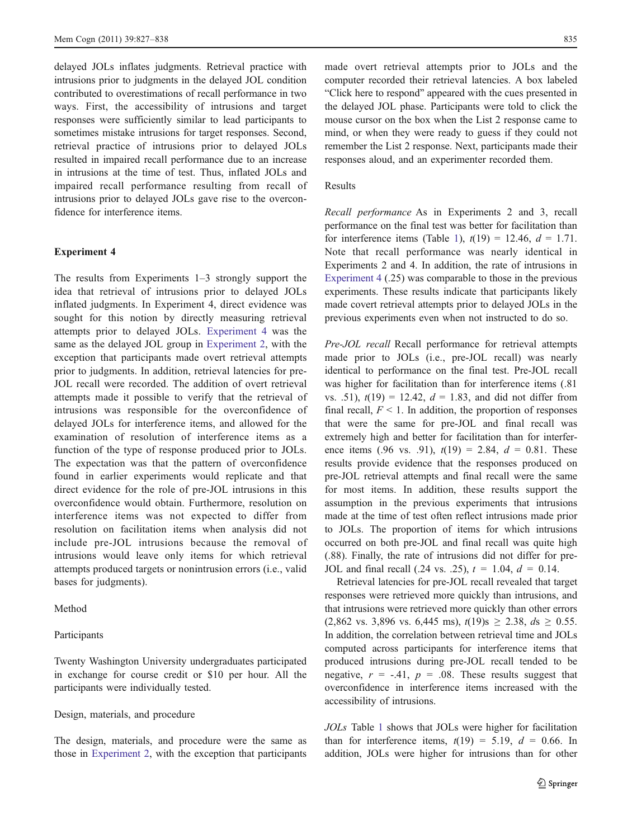delayed JOLs inflates judgments. Retrieval practice with intrusions prior to judgments in the delayed JOL condition contributed to overestimations of recall performance in two ways. First, the accessibility of intrusions and target responses were sufficiently similar to lead participants to sometimes mistake intrusions for target responses. Second, retrieval practice of intrusions prior to delayed JOLs resulted in impaired recall performance due to an increase in intrusions at the time of test. Thus, inflated JOLs and impaired recall performance resulting from recall of intrusions prior to delayed JOLs gave rise to the overconfidence for interference items.

# Experiment 4

The results from Experiments 1–3 strongly support the idea that retrieval of intrusions prior to delayed JOLs inflated judgments. In Experiment 4, direct evidence was sought for this notion by directly measuring retrieval attempts prior to delayed JOLs. Experiment 4 was the same as the delayed JOL group in [Experiment 2](#page-4-0), with the exception that participants made overt retrieval attempts prior to judgments. In addition, retrieval latencies for pre-JOL recall were recorded. The addition of overt retrieval attempts made it possible to verify that the retrieval of intrusions was responsible for the overconfidence of delayed JOLs for interference items, and allowed for the examination of resolution of interference items as a function of the type of response produced prior to JOLs. The expectation was that the pattern of overconfidence found in earlier experiments would replicate and that direct evidence for the role of pre-JOL intrusions in this overconfidence would obtain. Furthermore, resolution on interference items was not expected to differ from resolution on facilitation items when analysis did not include pre-JOL intrusions because the removal of intrusions would leave only items for which retrieval attempts produced targets or nonintrusion errors (i.e., valid bases for judgments).

# Method

# Participants

Twenty Washington University undergraduates participated in exchange for course credit or \$10 per hour. All the participants were individually tested.

# Design, materials, and procedure

The design, materials, and procedure were the same as those in [Experiment 2,](#page-4-0) with the exception that participants

made overt retrieval attempts prior to JOLs and the computer recorded their retrieval latencies. A box labeled "Click here to respond" appeared with the cues presented in the delayed JOL phase. Participants were told to click the mouse cursor on the box when the List 2 response came to mind, or when they were ready to guess if they could not remember the List 2 response. Next, participants made their responses aloud, and an experimenter recorded them.

# Results

Recall performance As in Experiments 2 and 3, recall performance on the final test was better for facilitation than for interference items (Table [1\)](#page-4-0),  $t(19) = 12.46$ ,  $d = 1.71$ . Note that recall performance was nearly identical in Experiments 2 and 4. In addition, the rate of intrusions in Experiment 4 (.25) was comparable to those in the previous experiments. These results indicate that participants likely made covert retrieval attempts prior to delayed JOLs in the previous experiments even when not instructed to do so.

Pre-JOL recall Recall performance for retrieval attempts made prior to JOLs (i.e., pre-JOL recall) was nearly identical to performance on the final test. Pre-JOL recall was higher for facilitation than for interference items (.81 vs. .51),  $t(19) = 12.42$ ,  $d = 1.83$ , and did not differ from final recall,  $F \leq 1$ . In addition, the proportion of responses that were the same for pre-JOL and final recall was extremely high and better for facilitation than for interference items (.96 vs. .91),  $t(19) = 2.84$ ,  $d = 0.81$ . These results provide evidence that the responses produced on pre-JOL retrieval attempts and final recall were the same for most items. In addition, these results support the assumption in the previous experiments that intrusions made at the time of test often reflect intrusions made prior to JOLs. The proportion of items for which intrusions occurred on both pre-JOL and final recall was quite high (.88). Finally, the rate of intrusions did not differ for pre-JOL and final recall (.24 vs. .25),  $t = 1.04$ ,  $d = 0.14$ .

Retrieval latencies for pre-JOL recall revealed that target responses were retrieved more quickly than intrusions, and that intrusions were retrieved more quickly than other errors  $(2,862 \text{ vs. } 3,896 \text{ vs. } 6,445 \text{ ms}), t(19)\text{s} \geq 2.38, ds \geq 0.55.$ In addition, the correlation between retrieval time and JOLs computed across participants for interference items that produced intrusions during pre-JOL recall tended to be negative,  $r = -.41$ ,  $p = .08$ . These results suggest that overconfidence in interference items increased with the accessibility of intrusions.

JOLs Table [1](#page-4-0) shows that JOLs were higher for facilitation than for interference items,  $t(19) = 5.19$ ,  $d = 0.66$ . In addition, JOLs were higher for intrusions than for other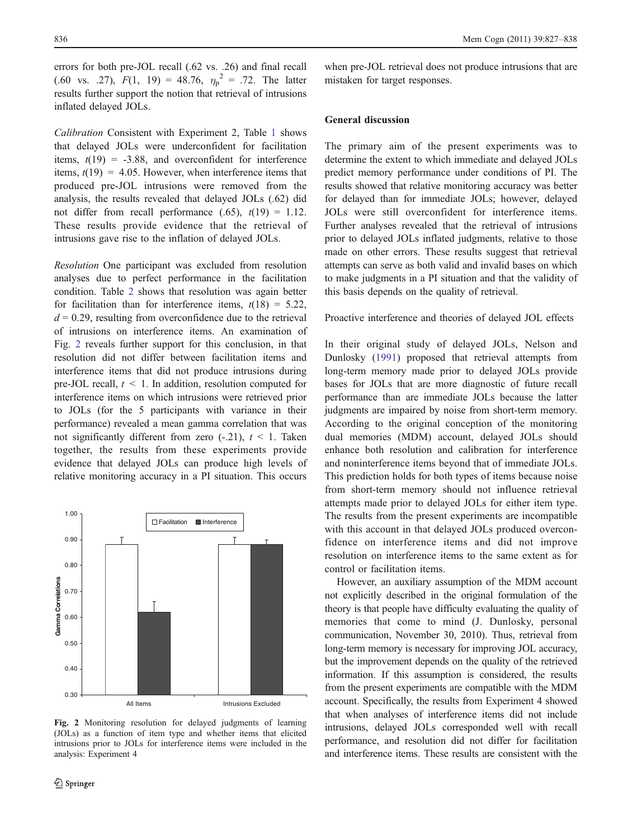errors for both pre-JOL recall (.62 vs. .26) and final recall  $(.60 \text{ vs. } .27)$ ,  $F(1, 19) = 48.76$ ,  $\eta_p^2 = .72$ . The latter results further support the notion that retrieval of intrusions inflated delayed JOLs.

Calibration Consistent with Experiment 2, Table [1](#page-4-0) shows that delayed JOLs were underconfident for facilitation items,  $t(19) = -3.88$ , and overconfident for interference items,  $t(19) = 4.05$ . However, when interference items that produced pre-JOL intrusions were removed from the analysis, the results revealed that delayed JOLs (.62) did not differ from recall performance  $(.65)$ ,  $t(19) = 1.12$ . These results provide evidence that the retrieval of intrusions gave rise to the inflation of delayed JOLs.

Resolution One participant was excluded from resolution analyses due to perfect performance in the facilitation condition. Table [2](#page-4-0) shows that resolution was again better for facilitation than for interference items,  $t(18) = 5.22$ ,  $d = 0.29$ , resulting from overconfidence due to the retrieval of intrusions on interference items. An examination of Fig. 2 reveals further support for this conclusion, in that resolution did not differ between facilitation items and interference items that did not produce intrusions during pre-JOL recall,  $t \leq 1$ . In addition, resolution computed for interference items on which intrusions were retrieved prior to JOLs (for the 5 participants with variance in their performance) revealed a mean gamma correlation that was not significantly different from zero  $(-.21)$ ,  $t < 1$ . Taken together, the results from these experiments provide evidence that delayed JOLs can produce high levels of relative monitoring accuracy in a PI situation. This occurs



Fig. 2 Monitoring resolution for delayed judgments of learning (JOLs) as a function of item type and whether items that elicited intrusions prior to JOLs for interference items were included in the analysis: Experiment 4

when pre-JOL retrieval does not produce intrusions that are mistaken for target responses.

# General discussion

The primary aim of the present experiments was to determine the extent to which immediate and delayed JOLs predict memory performance under conditions of PI. The results showed that relative monitoring accuracy was better for delayed than for immediate JOLs; however, delayed JOLs were still overconfident for interference items. Further analyses revealed that the retrieval of intrusions prior to delayed JOLs inflated judgments, relative to those made on other errors. These results suggest that retrieval attempts can serve as both valid and invalid bases on which to make judgments in a PI situation and that the validity of this basis depends on the quality of retrieval.

Proactive interference and theories of delayed JOL effects

In their original study of delayed JOLs, Nelson and Dunlosky [\(1991](#page-11-0)) proposed that retrieval attempts from long-term memory made prior to delayed JOLs provide bases for JOLs that are more diagnostic of future recall performance than are immediate JOLs because the latter judgments are impaired by noise from short-term memory. According to the original conception of the monitoring dual memories (MDM) account, delayed JOLs should enhance both resolution and calibration for interference and noninterference items beyond that of immediate JOLs. This prediction holds for both types of items because noise from short-term memory should not influence retrieval attempts made prior to delayed JOLs for either item type. The results from the present experiments are incompatible with this account in that delayed JOLs produced overconfidence on interference items and did not improve resolution on interference items to the same extent as for control or facilitation items.

However, an auxiliary assumption of the MDM account not explicitly described in the original formulation of the theory is that people have difficulty evaluating the quality of memories that come to mind (J. Dunlosky, personal communication, November 30, 2010). Thus, retrieval from long-term memory is necessary for improving JOL accuracy, but the improvement depends on the quality of the retrieved information. If this assumption is considered, the results from the present experiments are compatible with the MDM account. Specifically, the results from Experiment 4 showed that when analyses of interference items did not include intrusions, delayed JOLs corresponded well with recall performance, and resolution did not differ for facilitation and interference items. These results are consistent with the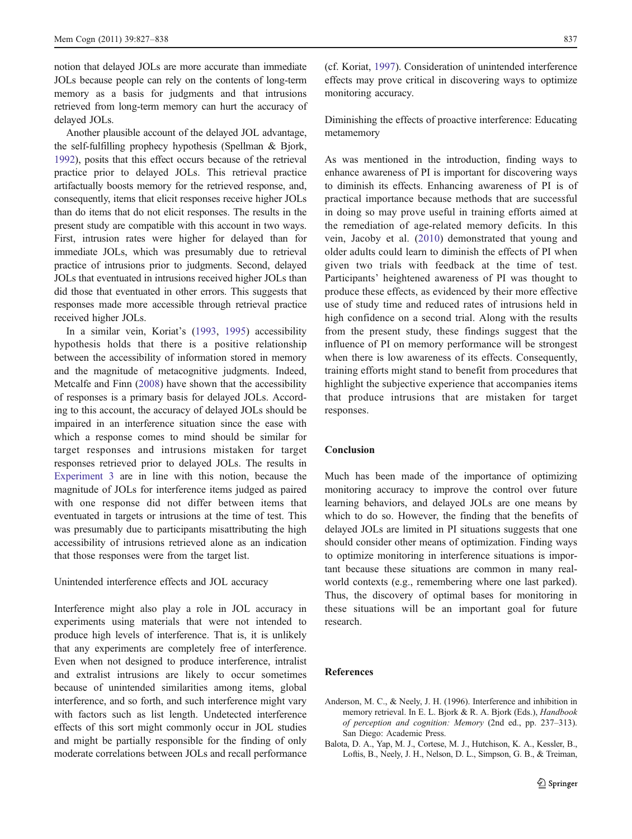<span id="page-10-0"></span>notion that delayed JOLs are more accurate than immediate JOLs because people can rely on the contents of long-term memory as a basis for judgments and that intrusions retrieved from long-term memory can hurt the accuracy of delayed JOLs.

Another plausible account of the delayed JOL advantage, the self-fulfilling prophecy hypothesis (Spellman & Bjork, [1992\)](#page-11-0), posits that this effect occurs because of the retrieval practice prior to delayed JOLs. This retrieval practice artifactually boosts memory for the retrieved response, and, consequently, items that elicit responses receive higher JOLs than do items that do not elicit responses. The results in the present study are compatible with this account in two ways. First, intrusion rates were higher for delayed than for immediate JOLs, which was presumably due to retrieval practice of intrusions prior to judgments. Second, delayed JOLs that eventuated in intrusions received higher JOLs than did those that eventuated in other errors. This suggests that responses made more accessible through retrieval practice received higher JOLs.

In a similar vein, Koriat's [\(1993](#page-11-0), [1995\)](#page-11-0) accessibility hypothesis holds that there is a positive relationship between the accessibility of information stored in memory and the magnitude of metacognitive judgments. Indeed, Metcalfe and Finn ([2008\)](#page-11-0) have shown that the accessibility of responses is a primary basis for delayed JOLs. According to this account, the accuracy of delayed JOLs should be impaired in an interference situation since the ease with which a response comes to mind should be similar for target responses and intrusions mistaken for target responses retrieved prior to delayed JOLs. The results in [Experiment 3](#page-5-0) are in line with this notion, because the magnitude of JOLs for interference items judged as paired with one response did not differ between items that eventuated in targets or intrusions at the time of test. This was presumably due to participants misattributing the high accessibility of intrusions retrieved alone as an indication that those responses were from the target list.

#### Unintended interference effects and JOL accuracy

Interference might also play a role in JOL accuracy in experiments using materials that were not intended to produce high levels of interference. That is, it is unlikely that any experiments are completely free of interference. Even when not designed to produce interference, intralist and extralist intrusions are likely to occur sometimes because of unintended similarities among items, global interference, and so forth, and such interference might vary with factors such as list length. Undetected interference effects of this sort might commonly occur in JOL studies and might be partially responsible for the finding of only moderate correlations between JOLs and recall performance (cf. Koriat, [1997\)](#page-11-0). Consideration of unintended interference effects may prove critical in discovering ways to optimize monitoring accuracy.

Diminishing the effects of proactive interference: Educating metamemory

As was mentioned in the introduction, finding ways to enhance awareness of PI is important for discovering ways to diminish its effects. Enhancing awareness of PI is of practical importance because methods that are successful in doing so may prove useful in training efforts aimed at the remediation of age-related memory deficits. In this vein, Jacoby et al. [\(2010\)](#page-11-0) demonstrated that young and older adults could learn to diminish the effects of PI when given two trials with feedback at the time of test. Participants' heightened awareness of PI was thought to produce these effects, as evidenced by their more effective use of study time and reduced rates of intrusions held in high confidence on a second trial. Along with the results from the present study, these findings suggest that the influence of PI on memory performance will be strongest when there is low awareness of its effects. Consequently, training efforts might stand to benefit from procedures that highlight the subjective experience that accompanies items that produce intrusions that are mistaken for target responses.

# Conclusion

Much has been made of the importance of optimizing monitoring accuracy to improve the control over future learning behaviors, and delayed JOLs are one means by which to do so. However, the finding that the benefits of delayed JOLs are limited in PI situations suggests that one should consider other means of optimization. Finding ways to optimize monitoring in interference situations is important because these situations are common in many realworld contexts (e.g., remembering where one last parked). Thus, the discovery of optimal bases for monitoring in these situations will be an important goal for future research.

# References

- Anderson, M. C., & Neely, J. H. (1996). Interference and inhibition in memory retrieval. In E. L. Bjork & R. A. Bjork (Eds.), Handbook of perception and cognition: Memory (2nd ed., pp. 237–313). San Diego: Academic Press.
- Balota, D. A., Yap, M. J., Cortese, M. J., Hutchison, K. A., Kessler, B., Loftis, B., Neely, J. H., Nelson, D. L., Simpson, G. B., & Treiman,